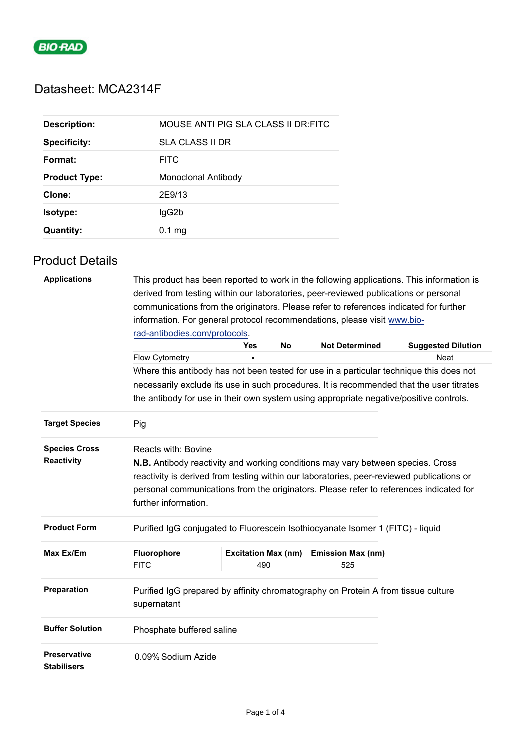

# Datasheet: MCA2314F

| <b>Description:</b>  | MOUSE ANTI PIG SLA CLASS II DR:FITC |
|----------------------|-------------------------------------|
| <b>Specificity:</b>  | SLA CLASS II DR                     |
| Format:              | <b>FITC</b>                         |
| <b>Product Type:</b> | Monoclonal Antibody                 |
| Clone:               | 2E9/13                              |
| Isotype:             | lgG2b                               |
| <b>Quantity:</b>     | $0.1 \text{ mg}$                    |

## Product Details

| <b>Applications</b>                       | This product has been reported to work in the following applications. This information is<br>derived from testing within our laboratories, peer-reviewed publications or personal<br>communications from the originators. Please refer to references indicated for further                                                          |                            |    |                          |                           |  |
|-------------------------------------------|-------------------------------------------------------------------------------------------------------------------------------------------------------------------------------------------------------------------------------------------------------------------------------------------------------------------------------------|----------------------------|----|--------------------------|---------------------------|--|
|                                           | information. For general protocol recommendations, please visit www.bio-                                                                                                                                                                                                                                                            |                            |    |                          |                           |  |
|                                           | rad-antibodies.com/protocols.                                                                                                                                                                                                                                                                                                       |                            |    |                          |                           |  |
|                                           |                                                                                                                                                                                                                                                                                                                                     | Yes                        | No | <b>Not Determined</b>    | <b>Suggested Dilution</b> |  |
|                                           | Flow Cytometry                                                                                                                                                                                                                                                                                                                      |                            |    |                          | Neat                      |  |
|                                           | Where this antibody has not been tested for use in a particular technique this does not                                                                                                                                                                                                                                             |                            |    |                          |                           |  |
|                                           | necessarily exclude its use in such procedures. It is recommended that the user titrates                                                                                                                                                                                                                                            |                            |    |                          |                           |  |
|                                           | the antibody for use in their own system using appropriate negative/positive controls.                                                                                                                                                                                                                                              |                            |    |                          |                           |  |
| <b>Target Species</b>                     | Pig                                                                                                                                                                                                                                                                                                                                 |                            |    |                          |                           |  |
| <b>Species Cross</b><br><b>Reactivity</b> | <b>Reacts with: Bovine</b><br><b>N.B.</b> Antibody reactivity and working conditions may vary between species. Cross<br>reactivity is derived from testing within our laboratories, peer-reviewed publications or<br>personal communications from the originators. Please refer to references indicated for<br>further information. |                            |    |                          |                           |  |
| <b>Product Form</b>                       | Purified IgG conjugated to Fluorescein Isothiocyanate Isomer 1 (FITC) - liquid                                                                                                                                                                                                                                                      |                            |    |                          |                           |  |
| Max Ex/Em                                 | Fluorophore                                                                                                                                                                                                                                                                                                                         | <b>Excitation Max (nm)</b> |    | <b>Emission Max (nm)</b> |                           |  |
|                                           | <b>FITC</b>                                                                                                                                                                                                                                                                                                                         | 490                        |    | 525                      |                           |  |
| Preparation                               | Purified IgG prepared by affinity chromatography on Protein A from tissue culture<br>supernatant                                                                                                                                                                                                                                    |                            |    |                          |                           |  |
| <b>Buffer Solution</b>                    | Phosphate buffered saline                                                                                                                                                                                                                                                                                                           |                            |    |                          |                           |  |
| <b>Preservative</b><br><b>Stabilisers</b> | 0.09% Sodium Azide                                                                                                                                                                                                                                                                                                                  |                            |    |                          |                           |  |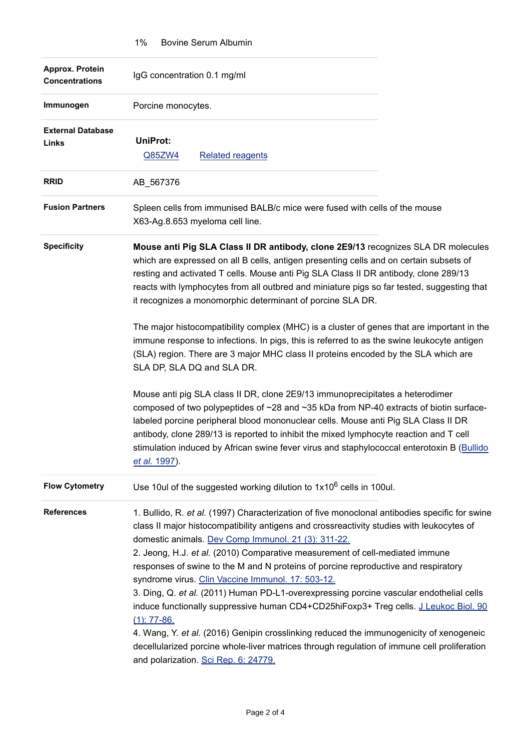|                                          | $1\%$<br>Bovine Serum Albumin                                                                                                                                                                                                                                                                                                                                                                                                                                                                                                                                                                                                                                                                                                                                                                                                                                                                                        |
|------------------------------------------|----------------------------------------------------------------------------------------------------------------------------------------------------------------------------------------------------------------------------------------------------------------------------------------------------------------------------------------------------------------------------------------------------------------------------------------------------------------------------------------------------------------------------------------------------------------------------------------------------------------------------------------------------------------------------------------------------------------------------------------------------------------------------------------------------------------------------------------------------------------------------------------------------------------------|
| Approx. Protein<br><b>Concentrations</b> | IgG concentration 0.1 mg/ml                                                                                                                                                                                                                                                                                                                                                                                                                                                                                                                                                                                                                                                                                                                                                                                                                                                                                          |
| Immunogen                                | Porcine monocytes.                                                                                                                                                                                                                                                                                                                                                                                                                                                                                                                                                                                                                                                                                                                                                                                                                                                                                                   |
| <b>External Database</b><br>Links        | <b>UniProt:</b><br>Q85ZW4<br><b>Related reagents</b>                                                                                                                                                                                                                                                                                                                                                                                                                                                                                                                                                                                                                                                                                                                                                                                                                                                                 |
| <b>RRID</b>                              | AB_567376                                                                                                                                                                                                                                                                                                                                                                                                                                                                                                                                                                                                                                                                                                                                                                                                                                                                                                            |
| <b>Fusion Partners</b>                   | Spleen cells from immunised BALB/c mice were fused with cells of the mouse<br>X63-Ag.8.653 myeloma cell line.                                                                                                                                                                                                                                                                                                                                                                                                                                                                                                                                                                                                                                                                                                                                                                                                        |
| <b>Specificity</b>                       | Mouse anti Pig SLA Class II DR antibody, clone 2E9/13 recognizes SLA DR molecules<br>which are expressed on all B cells, antigen presenting cells and on certain subsets of<br>resting and activated T cells. Mouse anti Pig SLA Class II DR antibody, clone 289/13<br>reacts with lymphocytes from all outbred and miniature pigs so far tested, suggesting that<br>it recognizes a monomorphic determinant of porcine SLA DR.                                                                                                                                                                                                                                                                                                                                                                                                                                                                                      |
|                                          | The major histocompatibility complex (MHC) is a cluster of genes that are important in the<br>immune response to infections. In pigs, this is referred to as the swine leukocyte antigen<br>(SLA) region. There are 3 major MHC class II proteins encoded by the SLA which are<br>SLA DP, SLA DQ and SLA DR.                                                                                                                                                                                                                                                                                                                                                                                                                                                                                                                                                                                                         |
|                                          | Mouse anti pig SLA class II DR, clone 2E9/13 immunoprecipitates a heterodimer<br>composed of two polypeptides of ~28 and ~35 kDa from NP-40 extracts of biotin surface-<br>labeled porcine peripheral blood mononuclear cells. Mouse anti Pig SLA Class II DR<br>antibody, clone 289/13 is reported to inhibit the mixed lymphocyte reaction and T cell<br>stimulation induced by African swine fever virus and staphylococcal enterotoxin B (Bullido<br>et al. 1997).                                                                                                                                                                                                                                                                                                                                                                                                                                               |
| <b>Flow Cytometry</b>                    | Use 10ul of the suggested working dilution to $1x10^6$ cells in 100ul.                                                                                                                                                                                                                                                                                                                                                                                                                                                                                                                                                                                                                                                                                                                                                                                                                                               |
| <b>References</b>                        | 1. Bullido, R. et al. (1997) Characterization of five monoclonal antibodies specific for swine<br>class II major histocompatibility antigens and crossreactivity studies with leukocytes of<br>domestic animals. Dev Comp Immunol. 21 (3): 311-22.<br>2. Jeong, H.J. et al. (2010) Comparative measurement of cell-mediated immune<br>responses of swine to the M and N proteins of porcine reproductive and respiratory<br>syndrome virus. Clin Vaccine Immunol. 17: 503-12.<br>3. Ding, Q. et al. (2011) Human PD-L1-overexpressing porcine vascular endothelial cells<br>induce functionally suppressive human CD4+CD25hiFoxp3+ Treg cells. J Leukoc Biol. 90<br>$(1)$ : 77-86.<br>4. Wang, Y. et al. (2016) Genipin crosslinking reduced the immunogenicity of xenogeneic<br>decellularized porcine whole-liver matrices through regulation of immune cell proliferation<br>and polarization. Sci Rep. 6: 24779. |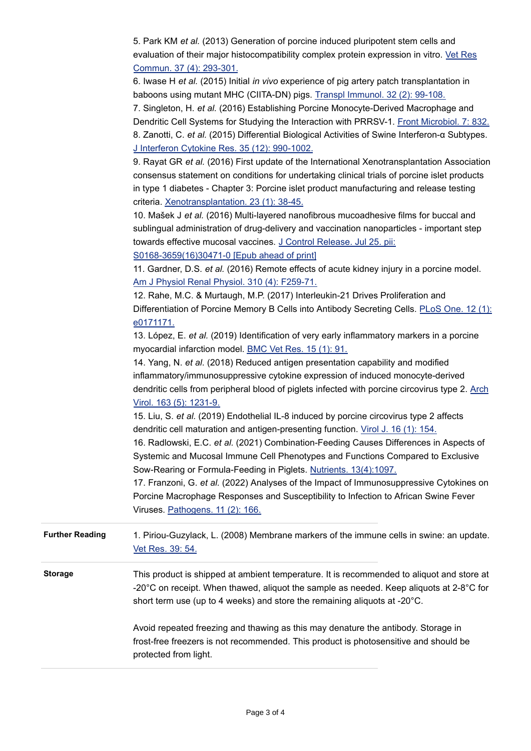|                        | 5. Park KM et al. (2013) Generation of porcine induced pluripotent stem cells and<br>evaluation of their major histocompatibility complex protein expression in vitro. Vet Res |
|------------------------|--------------------------------------------------------------------------------------------------------------------------------------------------------------------------------|
|                        | Commun. 37 (4): 293-301.<br>6. Iwase H et al. (2015) Initial in vivo experience of pig artery patch transplantation in                                                         |
|                        | baboons using mutant MHC (CIITA-DN) pigs. Transpl Immunol. 32 (2): 99-108.                                                                                                     |
|                        | 7. Singleton, H. et al. (2016) Establishing Porcine Monocyte-Derived Macrophage and                                                                                            |
|                        | Dendritic Cell Systems for Studying the Interaction with PRRSV-1. Front Microbiol. 7: 832.                                                                                     |
|                        | 8. Zanotti, C. et al. (2015) Differential Biological Activities of Swine Interferon-a Subtypes.                                                                                |
|                        | J Interferon Cytokine Res. 35 (12): 990-1002.                                                                                                                                  |
|                        | 9. Rayat GR et al. (2016) First update of the International Xenotransplantation Association                                                                                    |
|                        | consensus statement on conditions for undertaking clinical trials of porcine islet products                                                                                    |
|                        | in type 1 diabetes - Chapter 3: Porcine islet product manufacturing and release testing                                                                                        |
|                        | criteria. Xenotransplantation. 23 (1): 38-45.                                                                                                                                  |
|                        | 10. Mašek J et al. (2016) Multi-layered nanofibrous mucoadhesive films for buccal and                                                                                          |
|                        | sublingual administration of drug-delivery and vaccination nanoparticles - important step                                                                                      |
|                        | towards effective mucosal vaccines. J Control Release. Jul 25. pii:                                                                                                            |
|                        | S0168-3659(16)30471-0 [Epub ahead of print]                                                                                                                                    |
|                        | 11. Gardner, D.S. et al. (2016) Remote effects of acute kidney injury in a porcine model.                                                                                      |
|                        | Am J Physiol Renal Physiol. 310 (4): F259-71.                                                                                                                                  |
|                        | 12. Rahe, M.C. & Murtaugh, M.P. (2017) Interleukin-21 Drives Proliferation and                                                                                                 |
|                        | Differentiation of Porcine Memory B Cells into Antibody Secreting Cells. PLoS One. 12 (1):                                                                                     |
|                        | e0171171.                                                                                                                                                                      |
|                        | 13. López, E. et al. (2019) Identification of very early inflammatory markers in a porcine                                                                                     |
|                        | myocardial infarction model. BMC Vet Res. 15 (1): 91.                                                                                                                          |
|                        | 14. Yang, N. et al. (2018) Reduced antigen presentation capability and modified                                                                                                |
|                        | inflammatory/immunosuppressive cytokine expression of induced monocyte-derived                                                                                                 |
|                        | dendritic cells from peripheral blood of piglets infected with porcine circovirus type 2. Arch                                                                                 |
|                        | Virol. 163 (5): 1231-9.                                                                                                                                                        |
|                        | 15. Liu, S. et al. (2019) Endothelial IL-8 induced by porcine circovirus type 2 affects                                                                                        |
|                        | dendritic cell maturation and antigen-presenting function. Virol J. 16 (1): 154.                                                                                               |
|                        | 16. Radlowski, E.C. et al. (2021) Combination-Feeding Causes Differences in Aspects of                                                                                         |
|                        | Systemic and Mucosal Immune Cell Phenotypes and Functions Compared to Exclusive                                                                                                |
|                        | Sow-Rearing or Formula-Feeding in Piglets. Nutrients. 13(4):1097.                                                                                                              |
|                        | 17. Franzoni, G. et al. (2022) Analyses of the Impact of Immunosuppressive Cytokines on                                                                                        |
|                        | Porcine Macrophage Responses and Susceptibility to Infection to African Swine Fever                                                                                            |
|                        | Viruses. Pathogens. 11 (2): 166.                                                                                                                                               |
| <b>Further Reading</b> | 1. Piriou-Guzylack, L. (2008) Membrane markers of the immune cells in swine: an update.<br>Vet Res. 39: 54.                                                                    |
| <b>Storage</b>         | This product is shipped at ambient temperature. It is recommended to aliquot and store at                                                                                      |
|                        | -20 $^{\circ}$ C on receipt. When thawed, aliquot the sample as needed. Keep aliquots at 2-8 $^{\circ}$ C for                                                                  |
|                        | short term use (up to 4 weeks) and store the remaining aliquots at -20°C.                                                                                                      |
|                        | Avoid repeated freezing and thawing as this may denature the antibody. Storage in                                                                                              |
|                        | frost-free freezers is not recommended. This product is photosensitive and should be                                                                                           |
|                        | protected from light.                                                                                                                                                          |